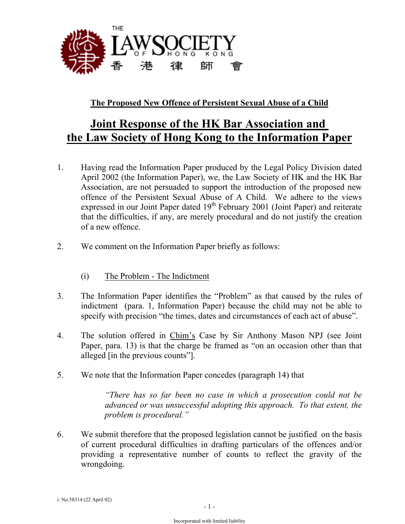

## **The Proposed New Offence of Persistent Sexual Abuse of a Child**

## **Joint Response of the HK Bar Association and the Law Society of Hong Kong to the Information Paper**

- 1. Having read the Information Paper produced by the Legal Policy Division dated April 2002 (the Information Paper), we, the Law Society of HK and the HK Bar Association, are not persuaded to support the introduction of the proposed new offence of the Persistent Sexual Abuse of A Child. We adhere to the views expressed in our Joint Paper dated  $19<sup>th</sup>$  February 2001 (Joint Paper) and reiterate that the difficulties, if any, are merely procedural and do not justify the creation of a new offence.
- 2. We comment on the Information Paper briefly as follows:
	- (i) The Problem The Indictment
- 3. The Information Paper identifies the "Problem" as that caused by the rules of indictment (para. 1, Information Paper) because the child may not be able to specify with precision "the times, dates and circumstances of each act of abuse".
- 4. The solution offered in Chim's Case by Sir Anthony Mason NPJ (see Joint Paper, para. 13) is that the charge be framed as "on an occasion other than that alleged [in the previous counts"].
- 5. We note that the Information Paper concedes (paragraph 14) that

*"There has so far been no case in which a prosecution could not be advanced or was unsuccessful adopting this approach. To that extent, the problem is procedural."*

6. We submit therefore that the proposed legislation cannot be justified on the basis of current procedural difficulties in drafting particulars of the offences and/or providing a representative number of counts to reflect the gravity of the wrongdoing.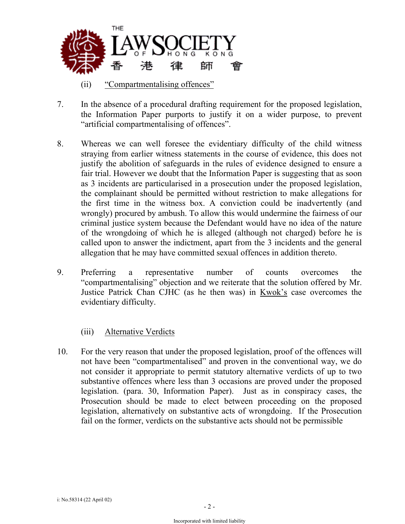

- (ii) "Compartmentalising offences"
- 7. In the absence of a procedural drafting requirement for the proposed legislation, the Information Paper purports to justify it on a wider purpose, to prevent "artificial compartmentalising of offences".
- 8. Whereas we can well foresee the evidentiary difficulty of the child witness straying from earlier witness statements in the course of evidence, this does not justify the abolition of safeguards in the rules of evidence designed to ensure a fair trial. However we doubt that the Information Paper is suggesting that as soon as 3 incidents are particularised in a prosecution under the proposed legislation, the complainant should be permitted without restriction to make allegations for the first time in the witness box. A conviction could be inadvertently (and wrongly) procured by ambush. To allow this would undermine the fairness of our criminal justice system because the Defendant would have no idea of the nature of the wrongdoing of which he is alleged (although not charged) before he is called upon to answer the indictment, apart from the 3 incidents and the general allegation that he may have committed sexual offences in addition thereto.
- 9. Preferring a representative number of counts overcomes the "compartmentalising" objection and we reiterate that the solution offered by Mr. Justice Patrick Chan CJHC (as he then was) in Kwok's case overcomes the evidentiary difficulty.

## (iii) Alternative Verdicts

10. For the very reason that under the proposed legislation, proof of the offences will not have been "compartmentalised" and proven in the conventional way, we do not consider it appropriate to permit statutory alternative verdicts of up to two substantive offences where less than 3 occasions are proved under the proposed legislation. (para. 30, Information Paper). Just as in conspiracy cases, the Prosecution should be made to elect between proceeding on the proposed legislation, alternatively on substantive acts of wrongdoing. If the Prosecution fail on the former, verdicts on the substantive acts should not be permissible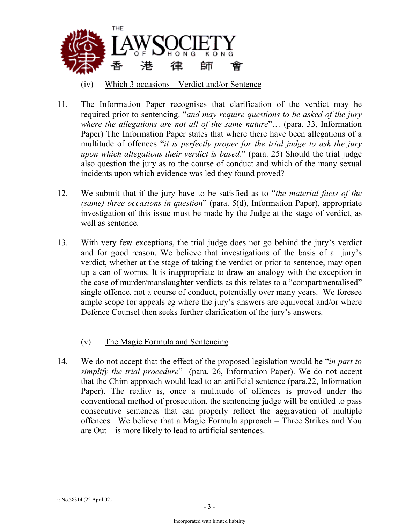

- (iv) Which 3 occasions Verdict and/or Sentence
- 11. The Information Paper recognises that clarification of the verdict may he required prior to sentencing. "*and may require questions to be asked of the jury where the allegations are not all of the same nature*"… (para. 33, Information Paper) The Information Paper states that where there have been allegations of a multitude of offences "*it is perfectly proper for the trial judge to ask the jury upon which allegations their verdict is based*." (para. 25) Should the trial judge also question the jury as to the course of conduct and which of the many sexual incidents upon which evidence was led they found proved?
- 12. We submit that if the jury have to be satisfied as to "*the material facts of the (same) three occasions in question*" (para. 5(d), Information Paper), appropriate investigation of this issue must be made by the Judge at the stage of verdict, as well as sentence.
- 13. With very few exceptions, the trial judge does not go behind the jury's verdict and for good reason. We believe that investigations of the basis of a jury's verdict, whether at the stage of taking the verdict or prior to sentence, may open up a can of worms. It is inappropriate to draw an analogy with the exception in the case of murder/manslaughter verdicts as this relates to a "compartmentalised" single offence, not a course of conduct, potentially over many years. We foresee ample scope for appeals eg where the jury's answers are equivocal and/or where Defence Counsel then seeks further clarification of the jury's answers.
	- (v) The Magic Formula and Sentencing
- 14. We do not accept that the effect of the proposed legislation would be "*in part to simplify the trial procedure*" (para. 26, Information Paper). We do not accept that the Chim approach would lead to an artificial sentence (para.22, Information Paper). The reality is, once a multitude of offences is proved under the conventional method of prosecution, the sentencing judge will be entitled to pass consecutive sentences that can properly reflect the aggravation of multiple offences. We believe that a Magic Formula approach – Three Strikes and You are Out – is more likely to lead to artificial sentences.